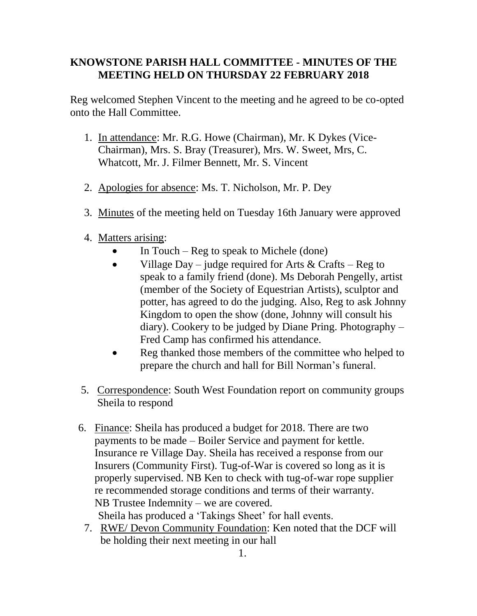## **KNOWSTONE PARISH HALL COMMITTEE - MINUTES OF THE MEETING HELD ON THURSDAY 22 FEBRUARY 2018**

Reg welcomed Stephen Vincent to the meeting and he agreed to be co-opted onto the Hall Committee.

- 1. In attendance: Mr. R.G. Howe (Chairman), Mr. K Dykes (Vice-Chairman), Mrs. S. Bray (Treasurer), Mrs. W. Sweet, Mrs, C. Whatcott, Mr. J. Filmer Bennett, Mr. S. Vincent
- 2. Apologies for absence: Ms. T. Nicholson, Mr. P. Dey
- 3. Minutes of the meeting held on Tuesday 16th January were approved
- 4. Matters arising:
	- In Touch Reg to speak to Michele (done)
	- Village Day judge required for Arts  $& Crafts Reg$  to speak to a family friend (done). Ms Deborah Pengelly, artist (member of the Society of Equestrian Artists), sculptor and potter, has agreed to do the judging. Also, Reg to ask Johnny Kingdom to open the show (done, Johnny will consult his diary). Cookery to be judged by Diane Pring. Photography – Fred Camp has confirmed his attendance.
	- Reg thanked those members of the committee who helped to prepare the church and hall for Bill Norman's funeral.
- 5. Correspondence: South West Foundation report on community groups Sheila to respond
- 6. Finance: Sheila has produced a budget for 2018. There are two payments to be made – Boiler Service and payment for kettle. Insurance re Village Day. Sheila has received a response from our Insurers (Community First). Tug-of-War is covered so long as it is properly supervised. NB Ken to check with tug-of-war rope supplier re recommended storage conditions and terms of their warranty. NB Trustee Indemnity – we are covered. Sheila has produced a 'Takings Sheet' for hall events.
	- 7. RWE/ Devon Community Foundation: Ken noted that the DCF will be holding their next meeting in our hall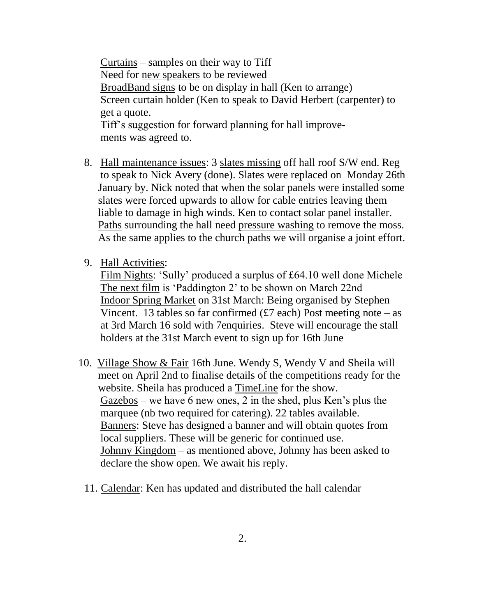Curtains – samples on their way to Tiff Need for new speakers to be reviewed BroadBand signs to be on display in hall (Ken to arrange) Screen curtain holder (Ken to speak to David Herbert (carpenter) to get a quote. Tiff's suggestion for forward planning for hall improvements was agreed to.

- 8. Hall maintenance issues: 3 slates missing off hall roof S/W end. Reg to speak to Nick Avery (done). Slates were replaced on Monday 26th January by. Nick noted that when the solar panels were installed some slates were forced upwards to allow for cable entries leaving them liable to damage in high winds. Ken to contact solar panel installer. Paths surrounding the hall need pressure washing to remove the moss. As the same applies to the church paths we will organise a joint effort.
- 9. Hall Activities:

Film Nights: 'Sully' produced a surplus of £64.10 well done Michele The next film is 'Paddington 2' to be shown on March 22nd Indoor Spring Market on 31st March: Being organised by Stephen Vincent. 13 tables so far confirmed  $(f7 \text{ each})$  Post meeting note – as at 3rd March 16 sold with 7enquiries. Steve will encourage the stall holders at the 31st March event to sign up for 16th June

- 10. Village Show & Fair 16th June. Wendy S, Wendy V and Sheila will meet on April 2nd to finalise details of the competitions ready for the website. Sheila has produced a TimeLine for the show. Gazebos – we have 6 new ones, 2 in the shed, plus Ken's plus the marquee (nb two required for catering). 22 tables available. Banners: Steve has designed a banner and will obtain quotes from local suppliers. These will be generic for continued use. Johnny Kingdom – as mentioned above, Johnny has been asked to declare the show open. We await his reply.
	- 11. Calendar: Ken has updated and distributed the hall calendar